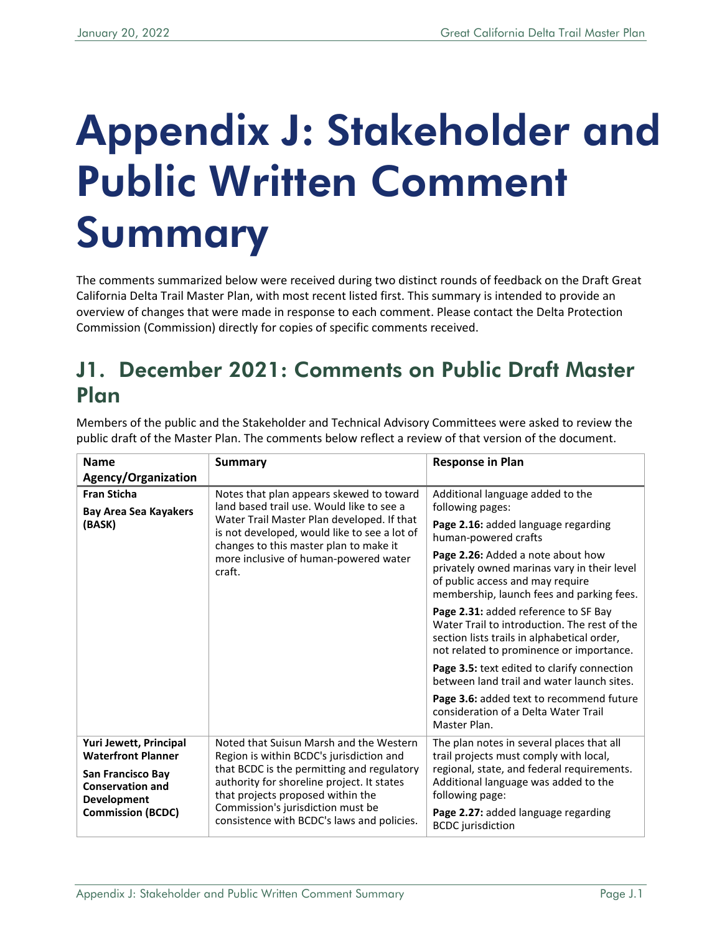## Appendix J: Stakeholder and Public Written Comment Summary

The comments summarized below were received during two distinct rounds of feedback on the Draft Great California Delta Trail Master Plan, with most recent listed first. This summary is intended to provide an overview of changes that were made in response to each comment. Please contact the Delta Protection Commission (Commission) directly for copies of specific comments received.

## J1. December 2021: Comments on Public Draft Master Plan

Members of the public and the Stakeholder and Technical Advisory Committees were asked to review the public draft of the Master Plan. The comments below reflect a review of that version of the document.

| <b>Name</b>                                                        | Summary                                                                                                                                                                                                                                                      | <b>Response in Plan</b>                                                                                                                                                         |
|--------------------------------------------------------------------|--------------------------------------------------------------------------------------------------------------------------------------------------------------------------------------------------------------------------------------------------------------|---------------------------------------------------------------------------------------------------------------------------------------------------------------------------------|
| Agency/Organization                                                |                                                                                                                                                                                                                                                              |                                                                                                                                                                                 |
| <b>Fran Sticha</b>                                                 | Notes that plan appears skewed to toward<br>land based trail use. Would like to see a                                                                                                                                                                        | Additional language added to the                                                                                                                                                |
| <b>Bay Area Sea Kayakers</b>                                       |                                                                                                                                                                                                                                                              | following pages:                                                                                                                                                                |
| (BASK)                                                             | Water Trail Master Plan developed. If that<br>is not developed, would like to see a lot of<br>changes to this master plan to make it                                                                                                                         | Page 2.16: added language regarding<br>human-powered crafts                                                                                                                     |
|                                                                    | more inclusive of human-powered water<br>craft.                                                                                                                                                                                                              | Page 2.26: Added a note about how<br>privately owned marinas vary in their level<br>of public access and may require<br>membership, launch fees and parking fees.               |
|                                                                    |                                                                                                                                                                                                                                                              | Page 2.31: added reference to SF Bay<br>Water Trail to introduction. The rest of the<br>section lists trails in alphabetical order,<br>not related to prominence or importance. |
|                                                                    |                                                                                                                                                                                                                                                              | Page 3.5: text edited to clarify connection<br>between land trail and water launch sites.                                                                                       |
|                                                                    |                                                                                                                                                                                                                                                              | Page 3.6: added text to recommend future<br>consideration of a Delta Water Trail<br>Master Plan.                                                                                |
| Yuri Jewett, Principal<br><b>Waterfront Planner</b>                | Noted that Suisun Marsh and the Western                                                                                                                                                                                                                      | The plan notes in several places that all                                                                                                                                       |
|                                                                    | Region is within BCDC's jurisdiction and<br>that BCDC is the permitting and regulatory<br>authority for shoreline project. It states<br>that projects proposed within the<br>Commission's jurisdiction must be<br>consistence with BCDC's laws and policies. | trail projects must comply with local,<br>regional, state, and federal requirements.                                                                                            |
| San Francisco Bay<br><b>Conservation and</b><br><b>Development</b> |                                                                                                                                                                                                                                                              | Additional language was added to the<br>following page:                                                                                                                         |
| <b>Commission (BCDC)</b>                                           |                                                                                                                                                                                                                                                              | Page 2.27: added language regarding<br><b>BCDC</b> jurisdiction                                                                                                                 |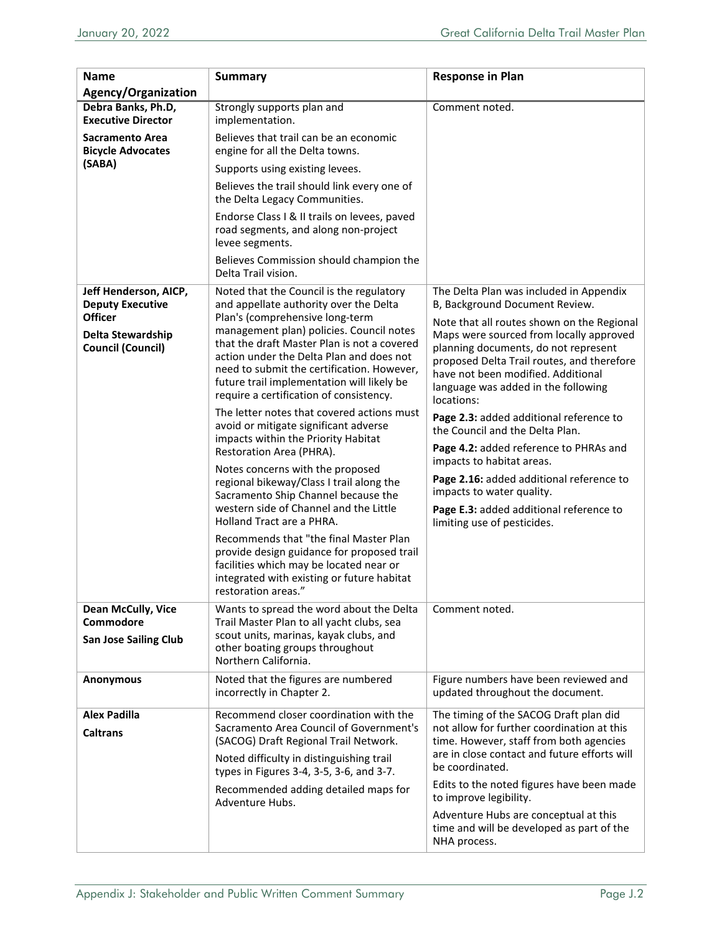| <b>Name</b>                                                     | <b>Summary</b>                                                                                                                                                                                                                                                                                                | <b>Response in Plan</b>                                                                                                                                                                                                                                                |
|-----------------------------------------------------------------|---------------------------------------------------------------------------------------------------------------------------------------------------------------------------------------------------------------------------------------------------------------------------------------------------------------|------------------------------------------------------------------------------------------------------------------------------------------------------------------------------------------------------------------------------------------------------------------------|
| <b>Agency/Organization</b>                                      |                                                                                                                                                                                                                                                                                                               |                                                                                                                                                                                                                                                                        |
| Debra Banks, Ph.D,<br><b>Executive Director</b>                 | Strongly supports plan and<br>implementation.                                                                                                                                                                                                                                                                 | Comment noted.                                                                                                                                                                                                                                                         |
| Sacramento Area<br><b>Bicycle Advocates</b><br>(SABA)           | Believes that trail can be an economic<br>engine for all the Delta towns.                                                                                                                                                                                                                                     |                                                                                                                                                                                                                                                                        |
|                                                                 | Supports using existing levees.                                                                                                                                                                                                                                                                               |                                                                                                                                                                                                                                                                        |
|                                                                 | Believes the trail should link every one of<br>the Delta Legacy Communities.                                                                                                                                                                                                                                  |                                                                                                                                                                                                                                                                        |
|                                                                 | Endorse Class I & II trails on levees, paved<br>road segments, and along non-project<br>levee segments.                                                                                                                                                                                                       |                                                                                                                                                                                                                                                                        |
|                                                                 | Believes Commission should champion the<br>Delta Trail vision.                                                                                                                                                                                                                                                |                                                                                                                                                                                                                                                                        |
| Jeff Henderson, AICP,<br><b>Deputy Executive</b>                | Noted that the Council is the regulatory<br>and appellate authority over the Delta                                                                                                                                                                                                                            | The Delta Plan was included in Appendix<br>B, Background Document Review.                                                                                                                                                                                              |
| <b>Officer</b><br>Delta Stewardship<br><b>Council (Council)</b> | Plan's (comprehensive long-term<br>management plan) policies. Council notes<br>that the draft Master Plan is not a covered<br>action under the Delta Plan and does not<br>need to submit the certification. However,<br>future trail implementation will likely be<br>require a certification of consistency. | Note that all routes shown on the Regional<br>Maps were sourced from locally approved<br>planning documents, do not represent<br>proposed Delta Trail routes, and therefore<br>have not been modified. Additional<br>language was added in the following<br>locations: |
|                                                                 | The letter notes that covered actions must<br>avoid or mitigate significant adverse<br>impacts within the Priority Habitat<br>Restoration Area (PHRA).                                                                                                                                                        | Page 2.3: added additional reference to<br>the Council and the Delta Plan.<br>Page 4.2: added reference to PHRAs and<br>impacts to habitat areas.                                                                                                                      |
|                                                                 | Notes concerns with the proposed<br>regional bikeway/Class I trail along the<br>Sacramento Ship Channel because the<br>western side of Channel and the Little<br><b>Holland Tract are a PHRA.</b>                                                                                                             | Page 2.16: added additional reference to<br>impacts to water quality.<br>Page E.3: added additional reference to<br>limiting use of pesticides.                                                                                                                        |
|                                                                 | Recommends that "the final Master Plan<br>provide design guidance for proposed trail<br>facilities which may be located near or<br>integrated with existing or future habitat<br>restoration areas."                                                                                                          |                                                                                                                                                                                                                                                                        |
| <b>Dean McCully, Vice</b><br>Commodore                          | Wants to spread the word about the Delta<br>Trail Master Plan to all yacht clubs, sea                                                                                                                                                                                                                         | Comment noted.                                                                                                                                                                                                                                                         |
| <b>San Jose Sailing Club</b>                                    | scout units, marinas, kayak clubs, and<br>other boating groups throughout<br>Northern California.                                                                                                                                                                                                             |                                                                                                                                                                                                                                                                        |
| <b>Anonymous</b>                                                | Noted that the figures are numbered<br>incorrectly in Chapter 2.                                                                                                                                                                                                                                              | Figure numbers have been reviewed and<br>updated throughout the document.                                                                                                                                                                                              |
| <b>Alex Padilla</b><br><b>Caltrans</b>                          | Recommend closer coordination with the<br>Sacramento Area Council of Government's<br>(SACOG) Draft Regional Trail Network.<br>Noted difficulty in distinguishing trail<br>types in Figures 3-4, 3-5, 3-6, and 3-7.                                                                                            | The timing of the SACOG Draft plan did<br>not allow for further coordination at this<br>time. However, staff from both agencies<br>are in close contact and future efforts will<br>be coordinated.                                                                     |
|                                                                 | Recommended adding detailed maps for<br>Adventure Hubs.                                                                                                                                                                                                                                                       | Edits to the noted figures have been made<br>to improve legibility.                                                                                                                                                                                                    |
|                                                                 |                                                                                                                                                                                                                                                                                                               | Adventure Hubs are conceptual at this<br>time and will be developed as part of the<br>NHA process.                                                                                                                                                                     |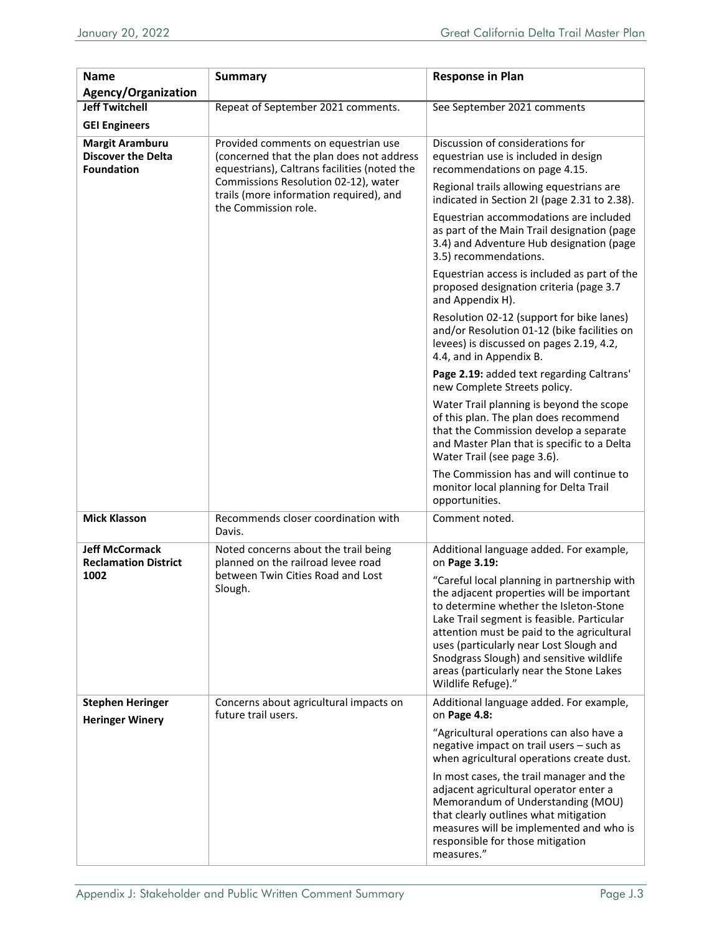| <b>Name</b><br>Agency/Organization                                       | <b>Summary</b>                                                                                                                                                                                                                              | <b>Response in Plan</b>                                                                                                                                                                                                                                                                                                                                                                 |
|--------------------------------------------------------------------------|---------------------------------------------------------------------------------------------------------------------------------------------------------------------------------------------------------------------------------------------|-----------------------------------------------------------------------------------------------------------------------------------------------------------------------------------------------------------------------------------------------------------------------------------------------------------------------------------------------------------------------------------------|
| <b>Jeff Twitchell</b>                                                    |                                                                                                                                                                                                                                             |                                                                                                                                                                                                                                                                                                                                                                                         |
|                                                                          | Repeat of September 2021 comments.                                                                                                                                                                                                          | See September 2021 comments                                                                                                                                                                                                                                                                                                                                                             |
| <b>GEI Engineers</b>                                                     |                                                                                                                                                                                                                                             |                                                                                                                                                                                                                                                                                                                                                                                         |
| <b>Margit Aramburu</b><br><b>Discover the Delta</b><br><b>Foundation</b> | Provided comments on equestrian use<br>(concerned that the plan does not address<br>equestrians), Caltrans facilities (noted the<br>Commissions Resolution 02-12), water<br>trails (more information required), and<br>the Commission role. | Discussion of considerations for<br>equestrian use is included in design<br>recommendations on page 4.15.                                                                                                                                                                                                                                                                               |
|                                                                          |                                                                                                                                                                                                                                             | Regional trails allowing equestrians are<br>indicated in Section 2I (page 2.31 to 2.38).                                                                                                                                                                                                                                                                                                |
|                                                                          |                                                                                                                                                                                                                                             | Equestrian accommodations are included<br>as part of the Main Trail designation (page<br>3.4) and Adventure Hub designation (page<br>3.5) recommendations.                                                                                                                                                                                                                              |
|                                                                          |                                                                                                                                                                                                                                             | Equestrian access is included as part of the<br>proposed designation criteria (page 3.7<br>and Appendix H).                                                                                                                                                                                                                                                                             |
|                                                                          |                                                                                                                                                                                                                                             | Resolution 02-12 (support for bike lanes)<br>and/or Resolution 01-12 (bike facilities on<br>levees) is discussed on pages 2.19, 4.2,<br>4.4, and in Appendix B.                                                                                                                                                                                                                         |
|                                                                          |                                                                                                                                                                                                                                             | Page 2.19: added text regarding Caltrans'<br>new Complete Streets policy.                                                                                                                                                                                                                                                                                                               |
|                                                                          |                                                                                                                                                                                                                                             | Water Trail planning is beyond the scope<br>of this plan. The plan does recommend<br>that the Commission develop a separate<br>and Master Plan that is specific to a Delta<br>Water Trail (see page 3.6).                                                                                                                                                                               |
|                                                                          |                                                                                                                                                                                                                                             | The Commission has and will continue to<br>monitor local planning for Delta Trail<br>opportunities.                                                                                                                                                                                                                                                                                     |
| <b>Mick Klasson</b>                                                      | Recommends closer coordination with<br>Davis.                                                                                                                                                                                               | Comment noted.                                                                                                                                                                                                                                                                                                                                                                          |
| <b>Jeff McCormack</b><br><b>Reclamation District</b><br>1002             | Noted concerns about the trail being<br>planned on the railroad levee road<br>between Twin Cities Road and Lost<br>Slough.                                                                                                                  | Additional language added. For example,<br>on Page 3.19:                                                                                                                                                                                                                                                                                                                                |
|                                                                          |                                                                                                                                                                                                                                             | "Careful local planning in partnership with<br>the adjacent properties will be important<br>to determine whether the Isleton-Stone<br>Lake Trail segment is feasible. Particular<br>attention must be paid to the agricultural<br>uses (particularly near Lost Slough and<br>Snodgrass Slough) and sensitive wildlife<br>areas (particularly near the Stone Lakes<br>Wildlife Refuge)." |
| <b>Stephen Heringer</b><br><b>Heringer Winery</b>                        | Concerns about agricultural impacts on<br>future trail users.                                                                                                                                                                               | Additional language added. For example,<br>on Page 4.8:                                                                                                                                                                                                                                                                                                                                 |
|                                                                          |                                                                                                                                                                                                                                             | "Agricultural operations can also have a<br>negative impact on trail users - such as<br>when agricultural operations create dust.                                                                                                                                                                                                                                                       |
|                                                                          |                                                                                                                                                                                                                                             | In most cases, the trail manager and the<br>adjacent agricultural operator enter a<br>Memorandum of Understanding (MOU)<br>that clearly outlines what mitigation<br>measures will be implemented and who is<br>responsible for those mitigation<br>measures."                                                                                                                           |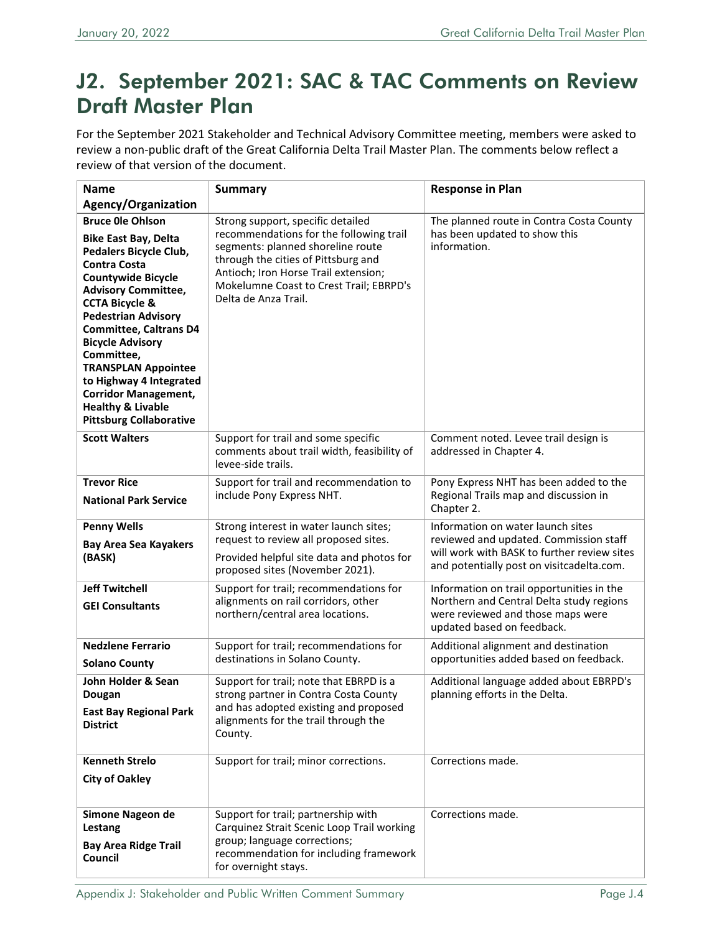## J2. September 2021: SAC & TAC Comments on Review Draft Master Plan

For the September 2021 Stakeholder and Technical Advisory Committee meeting, members were asked to review a non-public draft of the Great California Delta Trail Master Plan. The comments below reflect a review of that version of the document.

| <b>Name</b>                                                                                                                                                                                                                                                                                                                                                                                                                                                       | <b>Summary</b>                                                                                                                                                                                                                                                      | <b>Response in Plan</b>                                                                                                                                                 |
|-------------------------------------------------------------------------------------------------------------------------------------------------------------------------------------------------------------------------------------------------------------------------------------------------------------------------------------------------------------------------------------------------------------------------------------------------------------------|---------------------------------------------------------------------------------------------------------------------------------------------------------------------------------------------------------------------------------------------------------------------|-------------------------------------------------------------------------------------------------------------------------------------------------------------------------|
| Agency/Organization                                                                                                                                                                                                                                                                                                                                                                                                                                               |                                                                                                                                                                                                                                                                     |                                                                                                                                                                         |
| <b>Bruce Ole Ohlson</b><br><b>Bike East Bay, Delta</b><br>Pedalers Bicycle Club,<br><b>Contra Costa</b><br><b>Countywide Bicycle</b><br><b>Advisory Committee,</b><br><b>CCTA Bicycle &amp;</b><br><b>Pedestrian Advisory</b><br><b>Committee, Caltrans D4</b><br><b>Bicycle Advisory</b><br>Committee,<br><b>TRANSPLAN Appointee</b><br>to Highway 4 Integrated<br><b>Corridor Management,</b><br><b>Healthy &amp; Livable</b><br><b>Pittsburg Collaborative</b> | Strong support, specific detailed<br>recommendations for the following trail<br>segments: planned shoreline route<br>through the cities of Pittsburg and<br>Antioch; Iron Horse Trail extension;<br>Mokelumne Coast to Crest Trail; EBRPD's<br>Delta de Anza Trail. | The planned route in Contra Costa County<br>has been updated to show this<br>information.                                                                               |
| <b>Scott Walters</b>                                                                                                                                                                                                                                                                                                                                                                                                                                              | Support for trail and some specific<br>comments about trail width, feasibility of<br>levee-side trails.                                                                                                                                                             | Comment noted. Levee trail design is<br>addressed in Chapter 4.                                                                                                         |
| <b>Trevor Rice</b><br><b>National Park Service</b>                                                                                                                                                                                                                                                                                                                                                                                                                | Support for trail and recommendation to<br>include Pony Express NHT.                                                                                                                                                                                                | Pony Express NHT has been added to the<br>Regional Trails map and discussion in<br>Chapter 2.                                                                           |
| <b>Penny Wells</b><br><b>Bay Area Sea Kayakers</b><br>(BASK)                                                                                                                                                                                                                                                                                                                                                                                                      | Strong interest in water launch sites;<br>request to review all proposed sites.<br>Provided helpful site data and photos for<br>proposed sites (November 2021).                                                                                                     | Information on water launch sites<br>reviewed and updated. Commission staff<br>will work with BASK to further review sites<br>and potentially post on visitcadelta.com. |
| <b>Jeff Twitchell</b><br><b>GEI Consultants</b>                                                                                                                                                                                                                                                                                                                                                                                                                   | Support for trail; recommendations for<br>alignments on rail corridors, other<br>northern/central area locations.                                                                                                                                                   | Information on trail opportunities in the<br>Northern and Central Delta study regions<br>were reviewed and those maps were<br>updated based on feedback.                |
| <b>Nedzlene Ferrario</b><br><b>Solano County</b>                                                                                                                                                                                                                                                                                                                                                                                                                  | Support for trail; recommendations for<br>destinations in Solano County.                                                                                                                                                                                            | Additional alignment and destination<br>opportunities added based on feedback.                                                                                          |
| John Holder & Sean<br>Dougan<br><b>East Bay Regional Park</b><br><b>District</b>                                                                                                                                                                                                                                                                                                                                                                                  | Support for trail; note that EBRPD is a<br>strong partner in Contra Costa County<br>and has adopted existing and proposed<br>alignments for the trail through the<br>County.                                                                                        | Additional language added about EBRPD's<br>planning efforts in the Delta.                                                                                               |
| <b>Kenneth Strelo</b><br><b>City of Oakley</b>                                                                                                                                                                                                                                                                                                                                                                                                                    | Support for trail; minor corrections.                                                                                                                                                                                                                               | Corrections made.                                                                                                                                                       |
| Simone Nageon de<br>Lestang<br><b>Bay Area Ridge Trail</b><br>Council                                                                                                                                                                                                                                                                                                                                                                                             | Support for trail; partnership with<br>Carquinez Strait Scenic Loop Trail working<br>group; language corrections;<br>recommendation for including framework<br>for overnight stays.                                                                                 | Corrections made.                                                                                                                                                       |